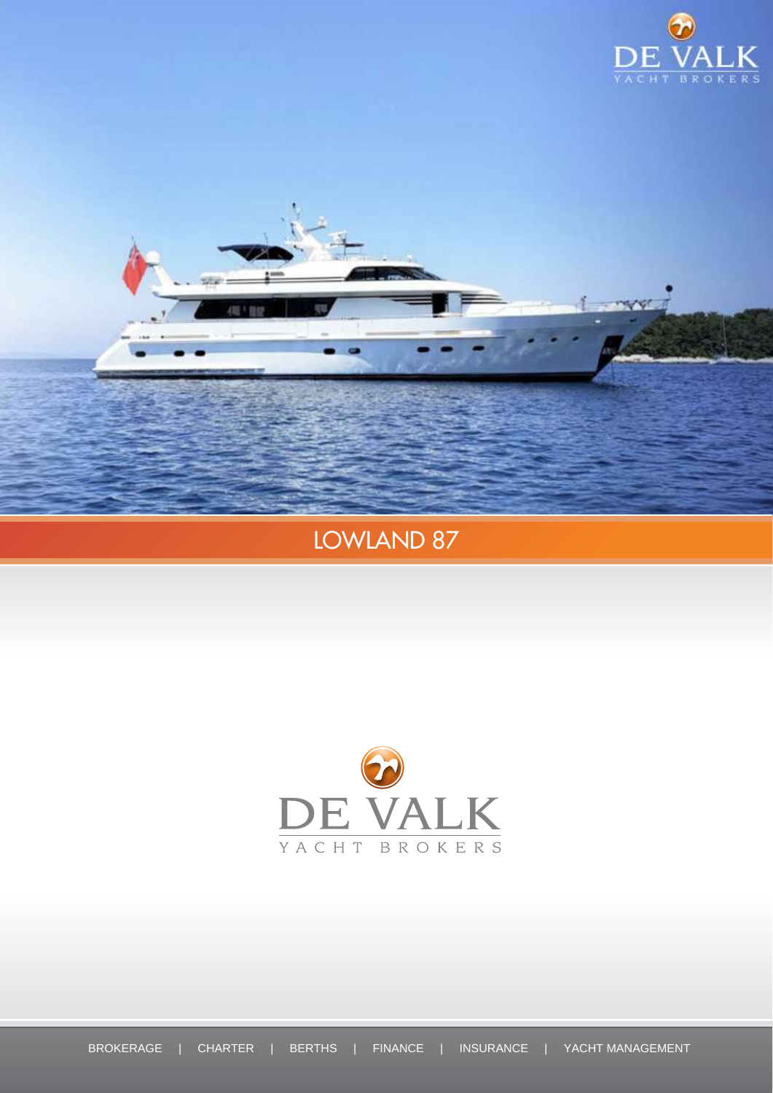





[BROKERAGE](https://www.devalk.nl/en/Yachts-for-sale.html) | [CHARTER](https://www.devalk.nl/en/Services/32/Charter.html) | [BERTHS](https://www.devalk.nl/en/berths.html) | [FINANCE](http://www.devalkfi.nl) | [INSURANCE](http://www.devalkfi.nl) | [YACHT MANAGEMENT](http://www.falconrydell.com)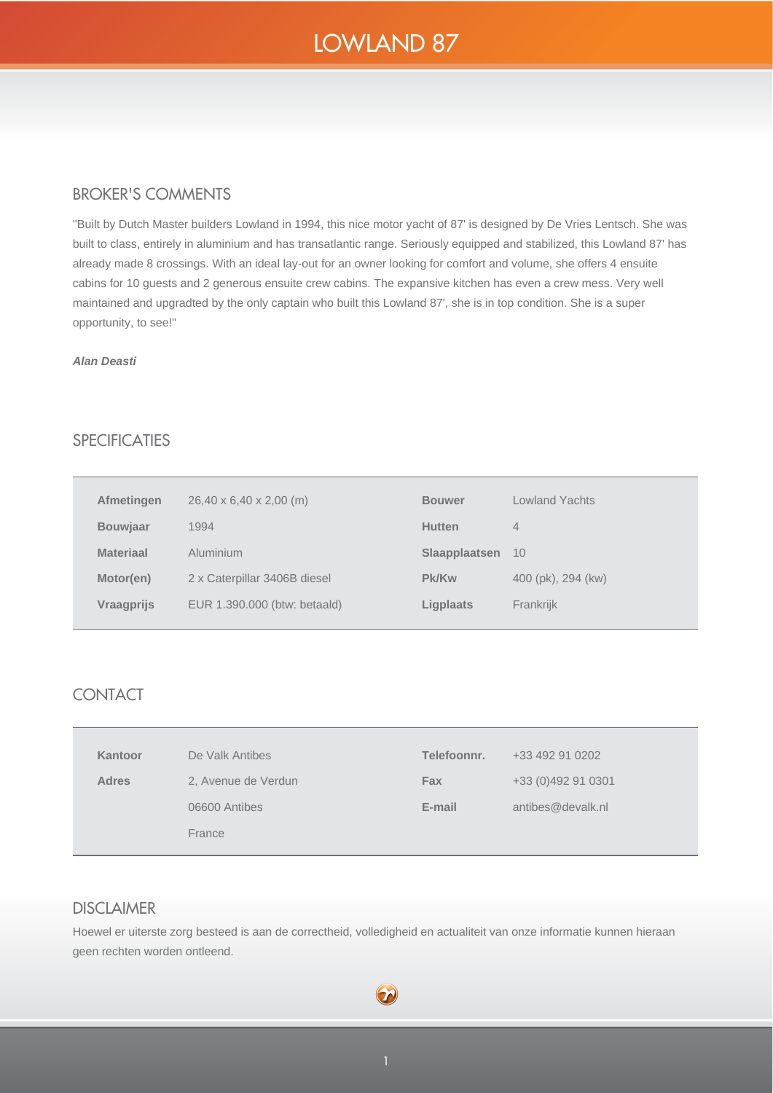#### **BROKER'S COMMENTS**

''Built by Dutch Master builders Lowland in 1994, this nice motor yacht of 87' is designed by De Vries Lentsch. She was built to class, entirely in aluminium and has transatlantic range. Seriously equipped and stabilized, this Lowland 87' has already made 8 crossings. With an ideal lay-out for an owner looking for comfort and volume, she offers 4 ensuite cabins for 10 guests and 2 generous ensuite crew cabins. The expansive kitchen has even a crew mess. Very well maintained and upgradted by the only captain who built this Lowland 87', she is in top condition. She is a super opportunity, to see!''

#### **Alan Deasti**

#### **SPECIFICATIES**

| Afmetingen        | $26,40 \times 6,40 \times 2,00$ (m) | <b>Bouwer</b>        | Lowland Yachts     |
|-------------------|-------------------------------------|----------------------|--------------------|
| <b>Bouwjaar</b>   | 1994                                | <b>Hutten</b>        | 4                  |
| <b>Materiaal</b>  | Aluminium                           | <b>Slaapplaatsen</b> | 10                 |
| Motor(en)         | 2 x Caterpillar 3406B diesel        | Pk/Kw                | 400 (pk), 294 (kw) |
| <b>Vraagprijs</b> | EUR 1.390.000 (btw: betaald)        | Ligplaats            | Frankrijk          |
|                   |                                     |                      |                    |

### **CONTACT**

| Kantoor      | De Valk Antibes     | Telefoonnr. | +33 492 91 0202    |
|--------------|---------------------|-------------|--------------------|
| <b>Adres</b> | 2, Avenue de Verdun | <b>Fax</b>  | +33 (0)492 91 0301 |
|              | 06600 Antibes       | E-mail      | antibes@devalk.nl  |
|              | France              |             |                    |
|              |                     |             |                    |

### **DISCLAIMER**

Hoewel er uiterste zorg besteed is aan de correctheid, volledigheid en actualiteit van onze informatie kunnen hieraan geen rechten worden ontleend.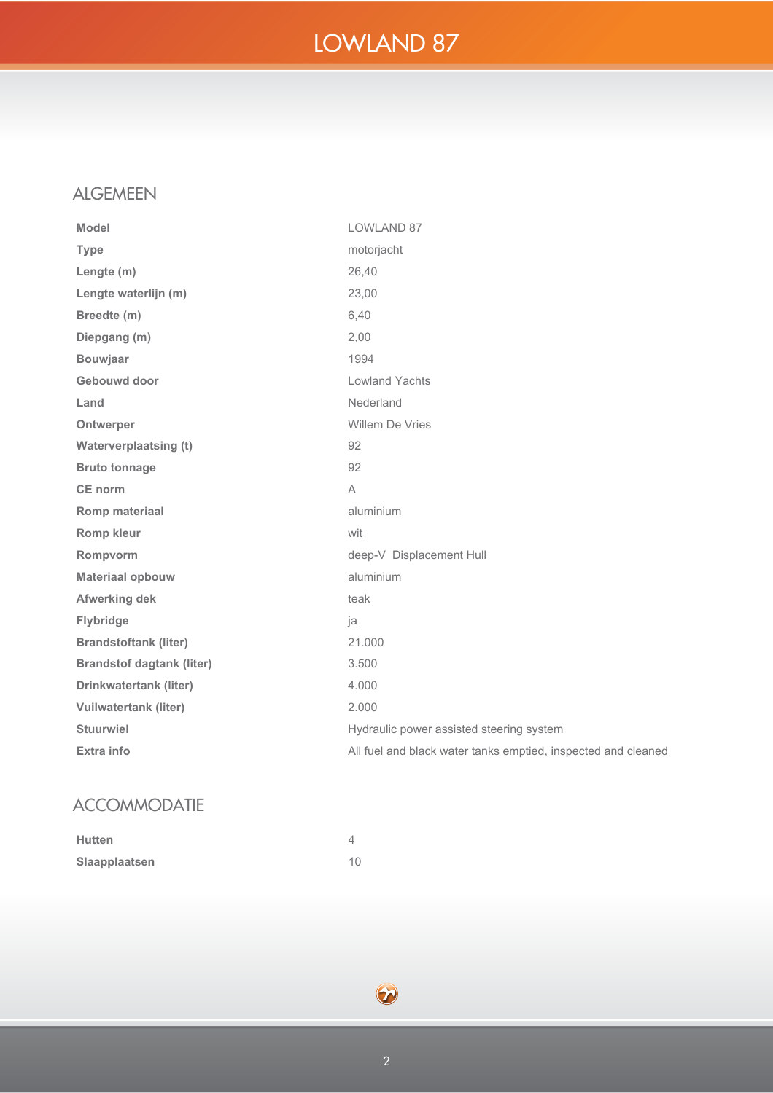### **ALGEMEEN**

| <b>Model</b>                     | LOWLAND 87                                                    |
|----------------------------------|---------------------------------------------------------------|
| <b>Type</b>                      | motorjacht                                                    |
| Lengte (m)                       | 26,40                                                         |
| Lengte waterlijn (m)             | 23,00                                                         |
| Breedte (m)                      | 6,40                                                          |
| Diepgang (m)                     | 2,00                                                          |
| <b>Bouwjaar</b>                  | 1994                                                          |
| Gebouwd door                     | <b>Lowland Yachts</b>                                         |
| Land                             | Nederland                                                     |
| Ontwerper                        | Willem De Vries                                               |
| <b>Waterverplaatsing (t)</b>     | 92                                                            |
| <b>Bruto tonnage</b>             | 92                                                            |
| CE norm                          | A                                                             |
| Romp materiaal                   | aluminium                                                     |
| Romp kleur                       | wit                                                           |
| Rompvorm                         | deep-V Displacement Hull                                      |
| <b>Materiaal opbouw</b>          | aluminium                                                     |
| Afwerking dek                    | teak                                                          |
| <b>Flybridge</b>                 | ja                                                            |
| <b>Brandstoftank (liter)</b>     | 21.000                                                        |
| <b>Brandstof dagtank (liter)</b> | 3.500                                                         |
| <b>Drinkwatertank (liter)</b>    | 4.000                                                         |
| <b>Vuilwatertank (liter)</b>     | 2.000                                                         |
| <b>Stuurwiel</b>                 | Hydraulic power assisted steering system                      |
| <b>Extra info</b>                | All fuel and black water tanks emptied, inspected and cleaned |

## **ACCOMMODATIE**

| <b>Hutten</b> |    |
|---------------|----|
| Slaapplaatsen | 10 |

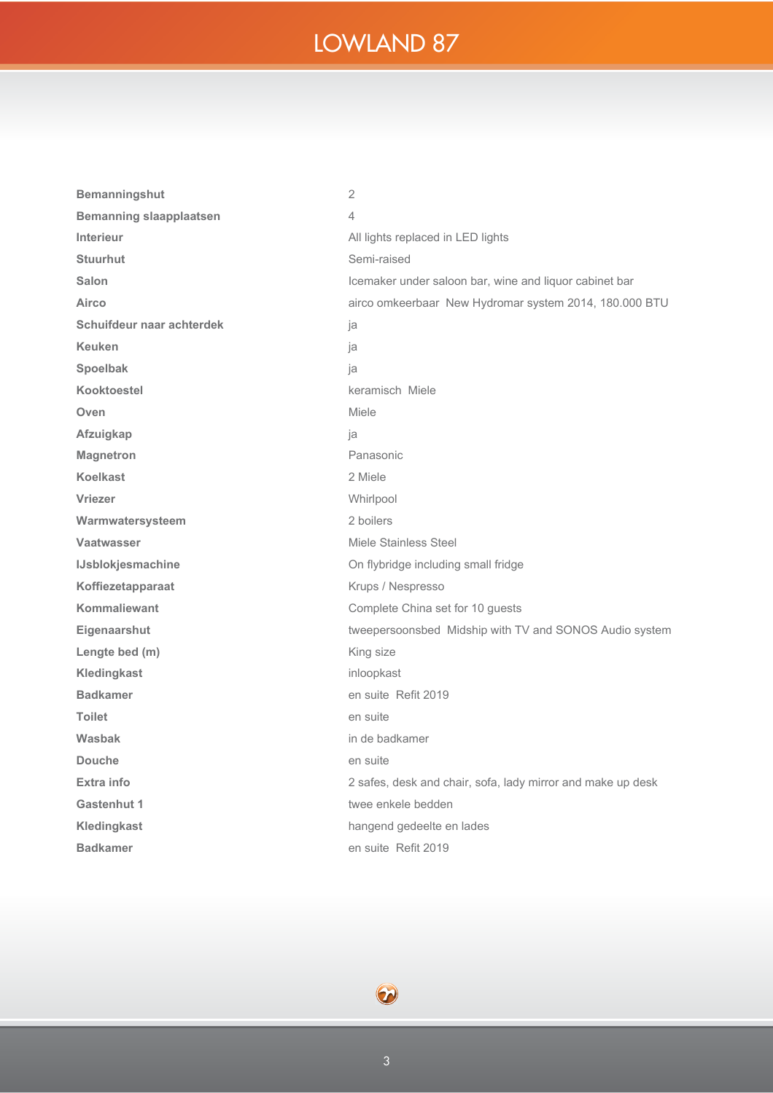**Bemanningshut 2 Bemanning slaapplaatsen 4 Interieur All lights replaced in LED lights Stuurhut Semi-raised Salon Icemaker under saloon bar, wine and liquor cabinet bar Airco airco omkeerbaar New Hydromar system 2014, 180.000 BTU Schuifdeur naar achterdek ja Keuken ja Spoelbak ja Kooktoestel keramisch Miele Oven Miele Afzuigkap ja Magnetron Panasonic Koelkast 2 Miele Vriezer Whirlpool Warmwatersysteem 2 boilers Vaatwasser Miele Stainless Steel IJsblokjesmachine On flybridge including small fridge Koffiezetapparaat Krups** / **Nespresso Kommaliewant Complete China set for 10 guests Eigenaarshut tweepersoonsbed Midship with TV and SONOS Audio system Lengte bed (m) King size Kledingkast inloopkast Badkamer en suite Refit 2019 Toilet en suite Wasbak in de badkamer Douche en suite Extra info 2 safes, desk and chair, sofa, lady mirror and make up desk Gastenhut 1 twee enkele bedden Kledingkast hangend gedeelte en lades Badkamer en suite Refit 2019**

 $\left( \right)$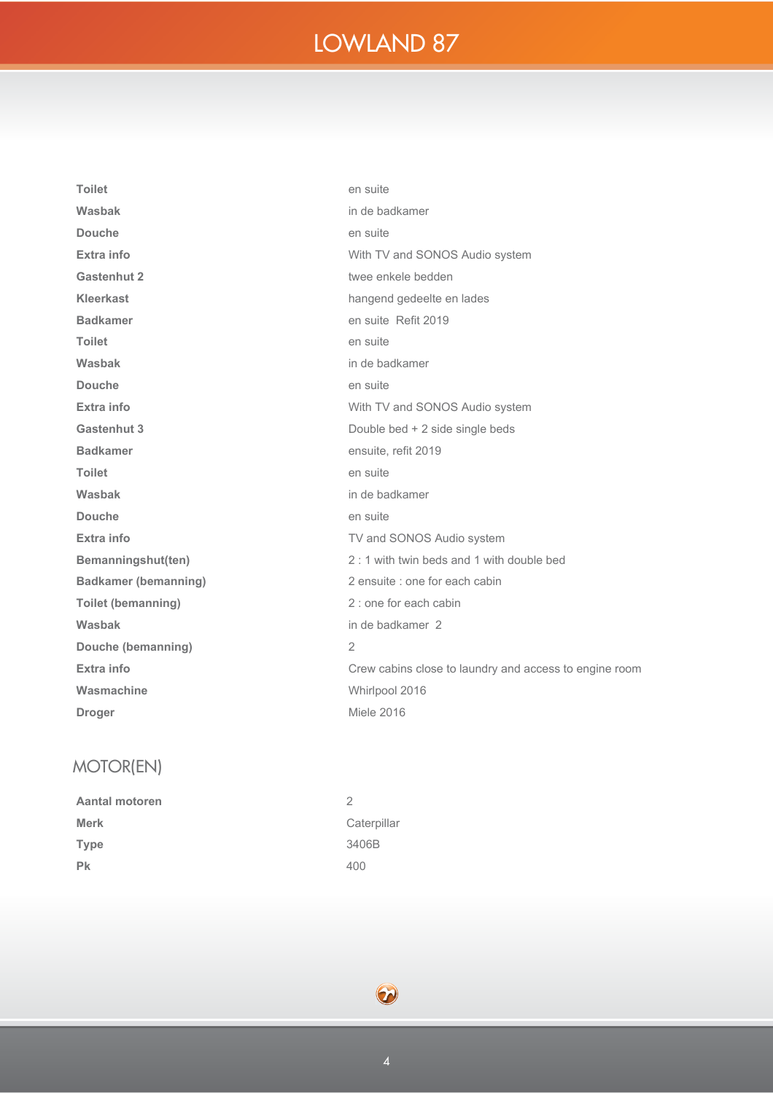**Wasbak in de badkamer Douche en** suite **Gastenhut 2 twee enkele bedden Kleerkast hangend gedeelte en lades Badkamer en suite Refit 2019 Toilet en suite Wasbak in de badkamer Douche en suite Badkamer ensuite, refit 2019 Toilet en suite Wasbak in de badkamer Douche en** suite **Toilet (bemanning) 2 : one for each cabin Wasbak in de badkamer 2 Douche (bemanning) 2 Wasmachine Whirlpool 2016 Droger Miele 2016**

### **MOTOR(EN)**

| <b>Aantal motoren</b> |             |
|-----------------------|-------------|
| <b>Merk</b>           | Caterpillar |
| <b>Type</b>           | 3406B       |
| Pk                    | 400         |

**Toilet en** suite **Extra info With TV and SONOS Audio system Extra info With TV and SONOS Audio system Gastenhut 3 Double bed + 2 side single beds Extra info TV and SONOS Audio system Bemanningshut(ten) 2 : 1 with twin beds and 1 with double bed Badkamer (bemanning) 2 ensuite : one for each cabin Extra info Crew cabins close to laundry and access to engine room**

 $\left( \right)$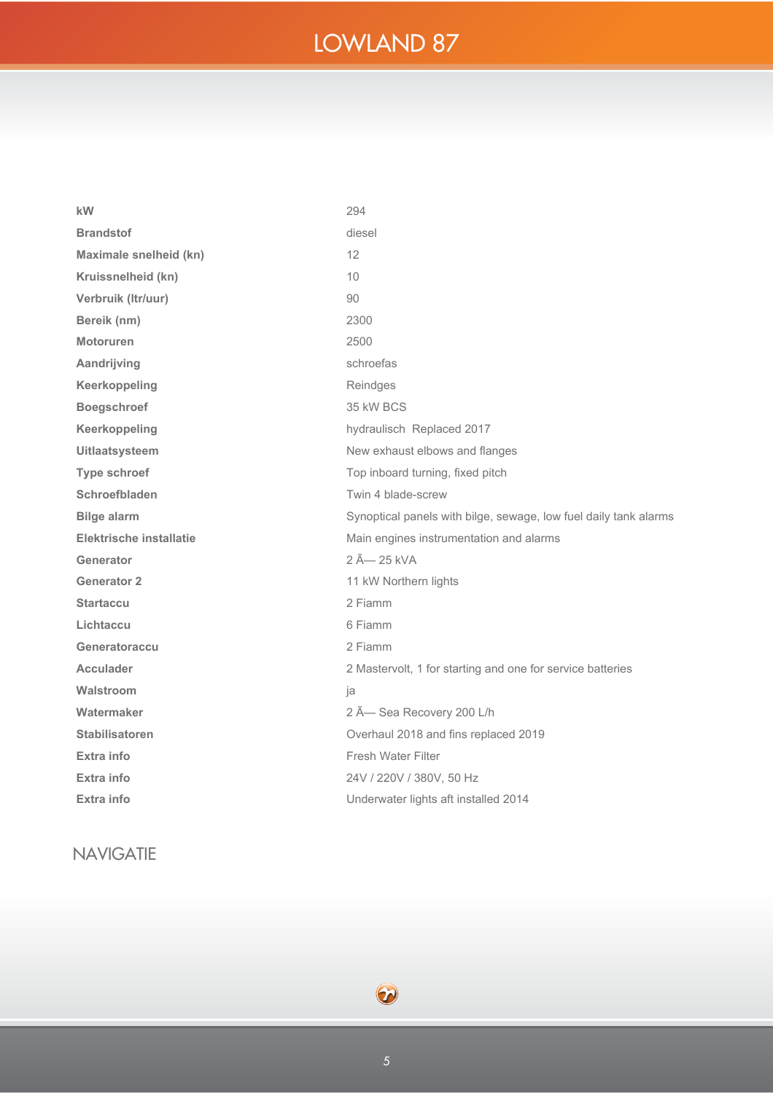| kW                      | 294                                                              |
|-------------------------|------------------------------------------------------------------|
| <b>Brandstof</b>        | diesel                                                           |
| Maximale snelheid (kn)  | 12                                                               |
| Kruissnelheid (kn)      | 10                                                               |
| Verbruik (Itr/uur)      | 90                                                               |
| Bereik (nm)             | 2300                                                             |
| <b>Motoruren</b>        | 2500                                                             |
| Aandrijving             | schroefas                                                        |
| Keerkoppeling           | Reindges                                                         |
| <b>Boegschroef</b>      | 35 kW BCS                                                        |
| Keerkoppeling           | hydraulisch Replaced 2017                                        |
| <b>Uitlaatsysteem</b>   | New exhaust elbows and flanges                                   |
| <b>Type schroef</b>     | Top inboard turning, fixed pitch                                 |
| <b>Schroefbladen</b>    | Twin 4 blade-screw                                               |
|                         |                                                                  |
| <b>Bilge alarm</b>      | Synoptical panels with bilge, sewage, low fuel daily tank alarms |
| Elektrische installatie | Main engines instrumentation and alarms                          |
| Generator               | $2 \tilde{A}$ $- 25$ kVA                                         |
| <b>Generator 2</b>      | 11 kW Northern lights                                            |
| <b>Startaccu</b>        | 2 Fiamm                                                          |
| Lichtaccu               | 6 Fiamm                                                          |
| Generatoraccu           | 2 Fiamm                                                          |
| <b>Acculader</b>        | 2 Mastervolt, 1 for starting and one for service batteries       |
| Walstroom               | ja                                                               |
| Watermaker              | 2 Ã-Sea Recovery 200 L/h                                         |
| <b>Stabilisatoren</b>   | Overhaul 2018 and fins replaced 2019                             |
| Extra info              | <b>Fresh Water Filter</b>                                        |
| Extra info              | 24V / 220V / 380V, 50 Hz                                         |

## **NAVIGATIE**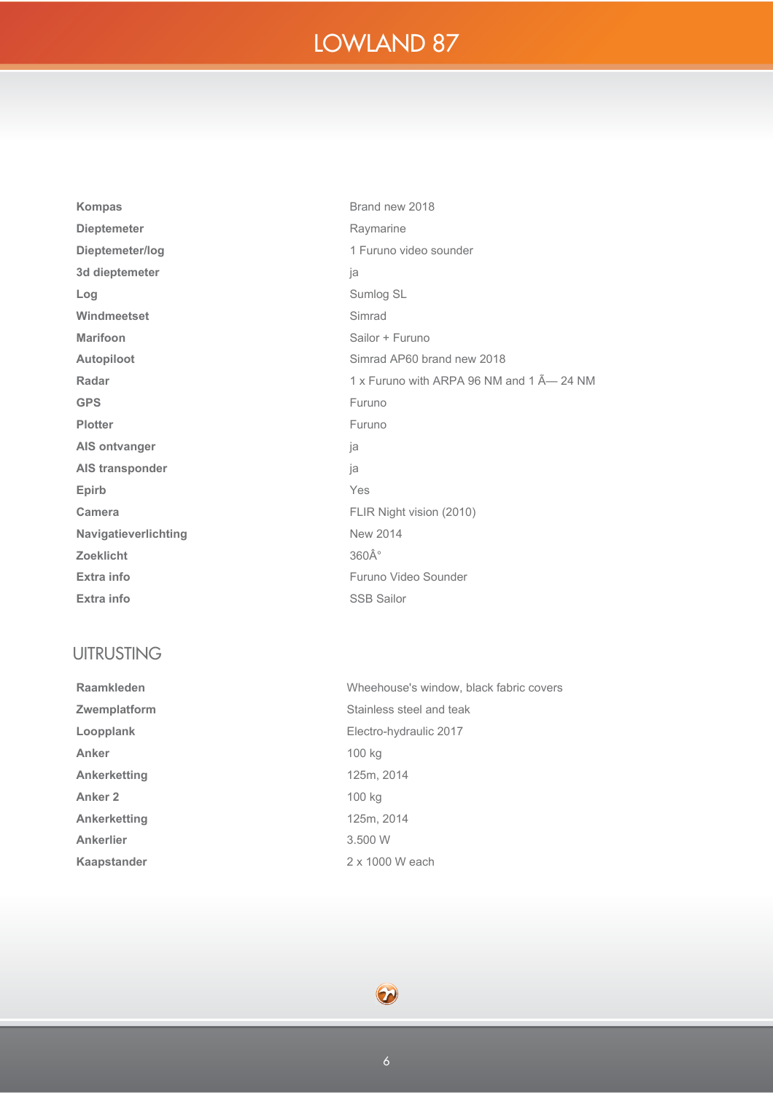**Kompas Brand new 2018 Dieptemeter Raymarine Dieptemeter/log 1 Furuno video sounder 3d dieptemeter ja Log Sumlog SL Windmeetset Simrad Marifoon Sailor + Furuno GPS Furuno Plotter Furuno AIS ontvanger ja AIS transponder ja Epirb Yes Camera FLIR Night vision (2010) Navigatieverlichting New 2014 Zoeklicht 360° Extra info Furuno Video Sounder Extra info SSB Sailor**

### **UITRUSTING**

| <b>Raamkleden</b>   | Wheehouse's window, black fabric covers |
|---------------------|-----------------------------------------|
| Zwemplatform        | Stainless steel and teak                |
| Loopplank           | Electro-hydraulic 2017                  |
| Anker               | 100 kg                                  |
| <b>Ankerketting</b> | 125m, 2014                              |
| Anker 2             | 100 kg                                  |
| <b>Ankerketting</b> | 125m, 2014                              |
| <b>Ankerlier</b>    | 3.500 W                                 |
| Kaapstander         | 2 x 1000 W each                         |

**Autopiloot Simrad AP60 brand new 2018 Radar 1 x Furuno with ARPA 96 NM and 1 × 24 NM**

 $\bm{\omega}$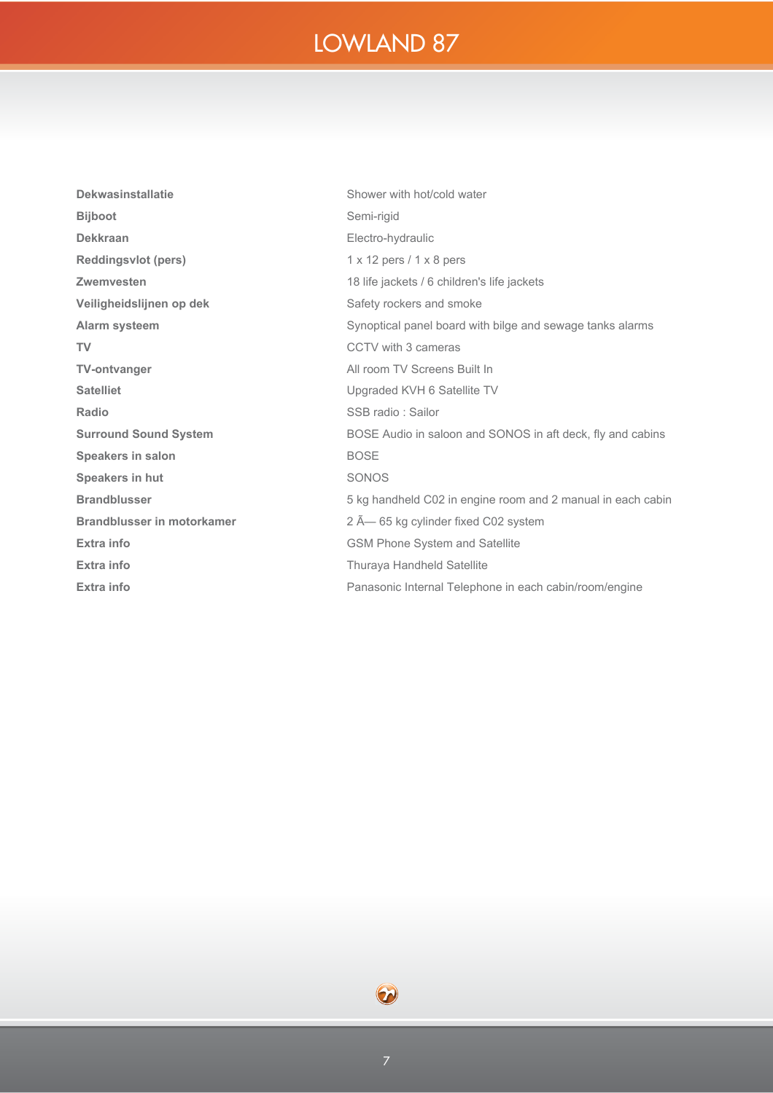| <b>Dekwasinstallatie</b>     | Shower with hot/cold water                                  |
|------------------------------|-------------------------------------------------------------|
| <b>Bijboot</b>               | Semi-rigid                                                  |
| <b>Dekkraan</b>              | Electro-hydraulic                                           |
| <b>Reddingsvlot (pers)</b>   | $1 \times 12$ pers / $1 \times 8$ pers                      |
| <b>Zwemvesten</b>            | 18 life jackets / 6 children's life jackets                 |
| Veiligheidslijnen op dek     | Safety rockers and smoke                                    |
| Alarm systeem                | Synoptical panel board with bilge and sewage tanks alarms   |
| <b>TV</b>                    | CCTV with 3 cameras                                         |
| <b>TV-ontvanger</b>          | All room TV Screens Built In                                |
| <b>Satelliet</b>             | Upgraded KVH 6 Satellite TV                                 |
| Radio                        | SSB radio: Sailor                                           |
| <b>Surround Sound System</b> | BOSE Audio in saloon and SONOS in aft deck, fly and cabins  |
| <b>Speakers in salon</b>     | <b>BOSE</b>                                                 |
| Speakers in hut              | <b>SONOS</b>                                                |
| <b>Brandblusser</b>          | 5 kg handheld C02 in engine room and 2 manual in each cabin |
| Brandblusser in motorkamer   | 2 Å-65 kg cylinder fixed C02 system                         |
| Extra info                   | <b>GSM Phone System and Satellite</b>                       |
| Extra info                   | Thuraya Handheld Satellite                                  |
| <b>Extra info</b>            | Panasonic Internal Telephone in each cabin/room/engine      |

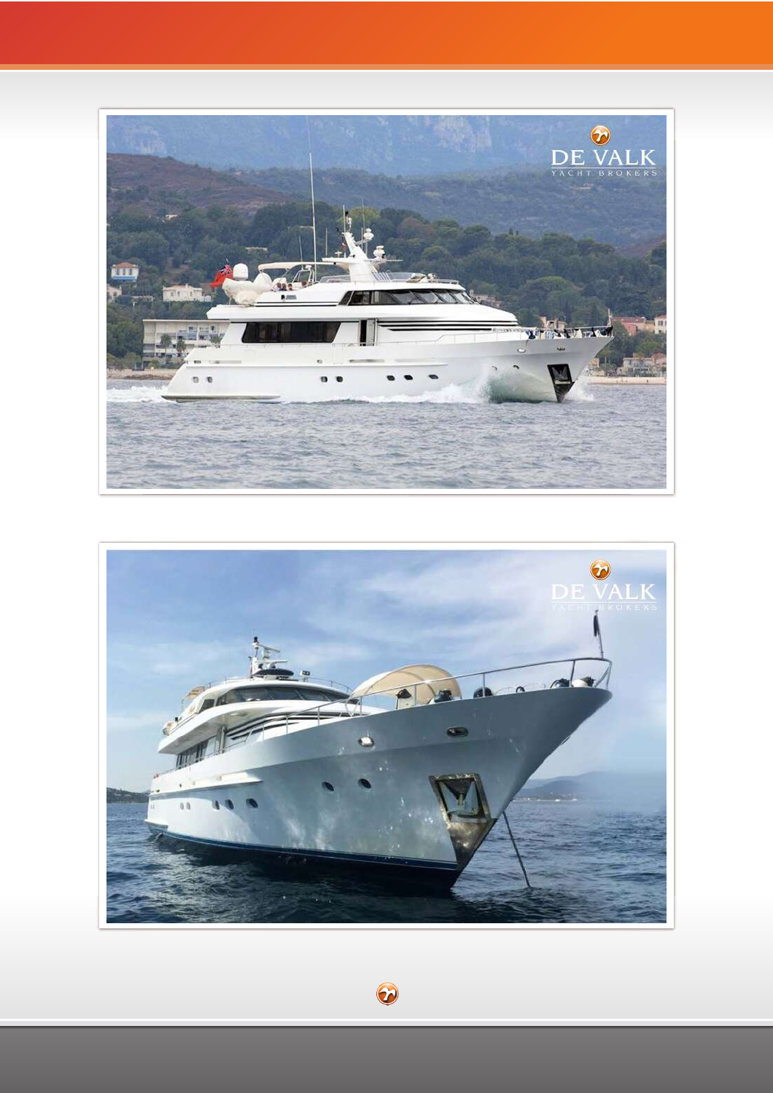$12:1$ \$1'



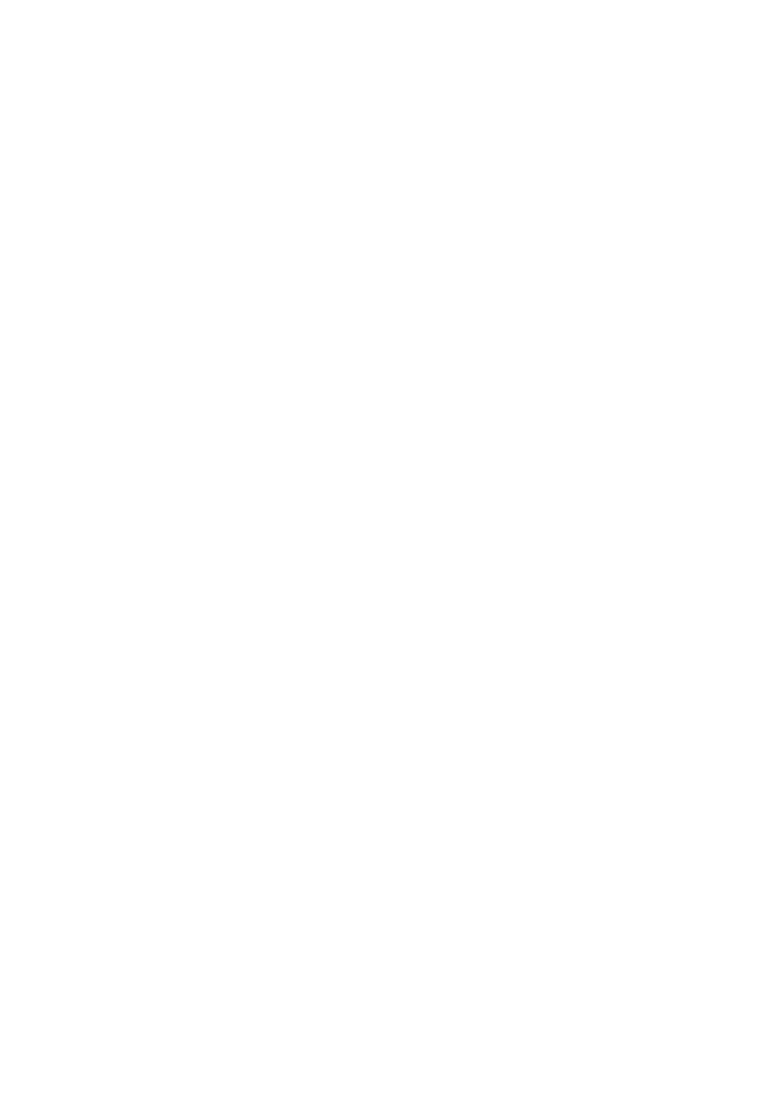| ---- |  |
|------|--|
|      |  |
|      |  |
|      |  |
|      |  |
|      |  |
|      |  |
|      |  |
|      |  |
|      |  |
|      |  |
|      |  |
|      |  |
|      |  |
|      |  |
|      |  |
|      |  |
|      |  |
|      |  |
|      |  |
|      |  |
|      |  |
|      |  |
|      |  |
|      |  |
|      |  |
|      |  |
|      |  |
|      |  |
|      |  |
|      |  |
|      |  |
|      |  |
|      |  |
|      |  |
|      |  |
|      |  |
|      |  |
|      |  |
|      |  |
|      |  |
|      |  |
|      |  |
|      |  |
|      |  |
|      |  |
|      |  |
|      |  |
|      |  |
|      |  |
|      |  |
|      |  |
|      |  |
|      |  |
|      |  |
|      |  |
|      |  |
|      |  |
|      |  |

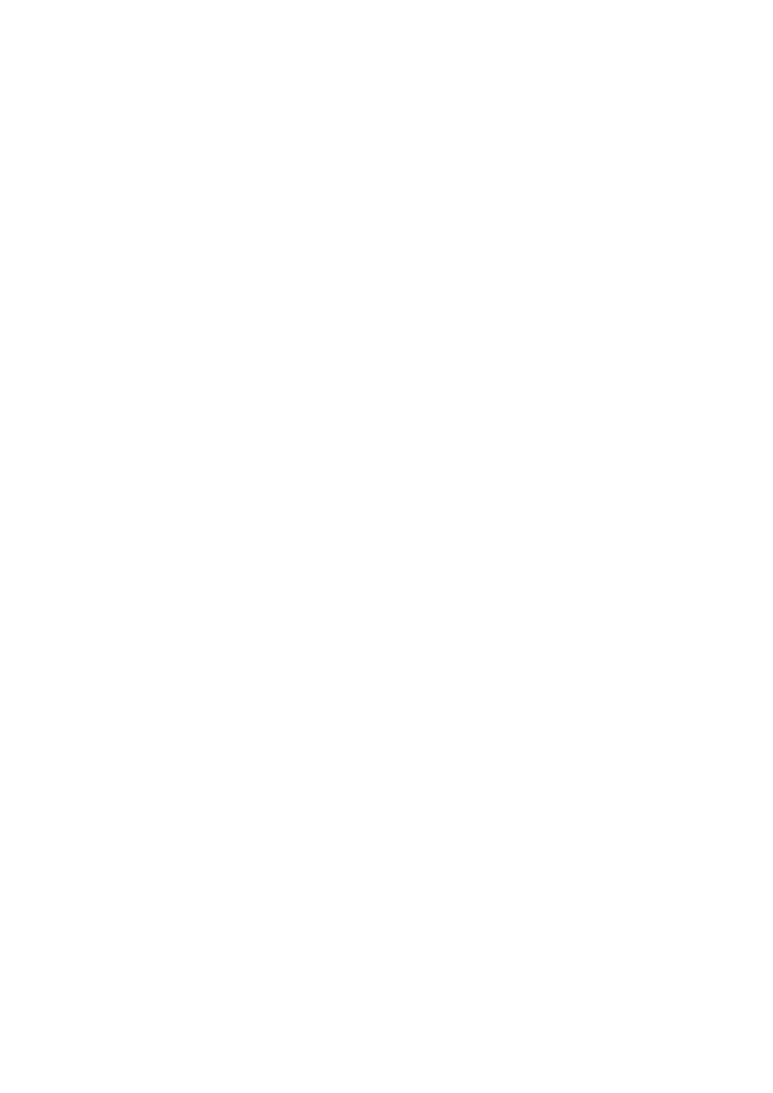| ---- |  |
|------|--|
|      |  |
|      |  |
|      |  |
|      |  |
|      |  |
|      |  |
|      |  |
|      |  |
|      |  |
|      |  |
|      |  |
|      |  |
|      |  |
|      |  |
|      |  |
|      |  |
|      |  |
|      |  |
|      |  |
|      |  |
|      |  |
|      |  |
|      |  |
|      |  |
|      |  |
|      |  |
|      |  |
|      |  |
|      |  |
|      |  |
|      |  |
|      |  |
|      |  |
|      |  |
|      |  |
|      |  |
|      |  |
|      |  |
|      |  |
|      |  |
|      |  |
|      |  |
|      |  |
|      |  |
|      |  |
|      |  |
|      |  |
|      |  |
|      |  |
|      |  |
|      |  |
|      |  |
|      |  |
|      |  |
|      |  |
|      |  |
|      |  |
|      |  |

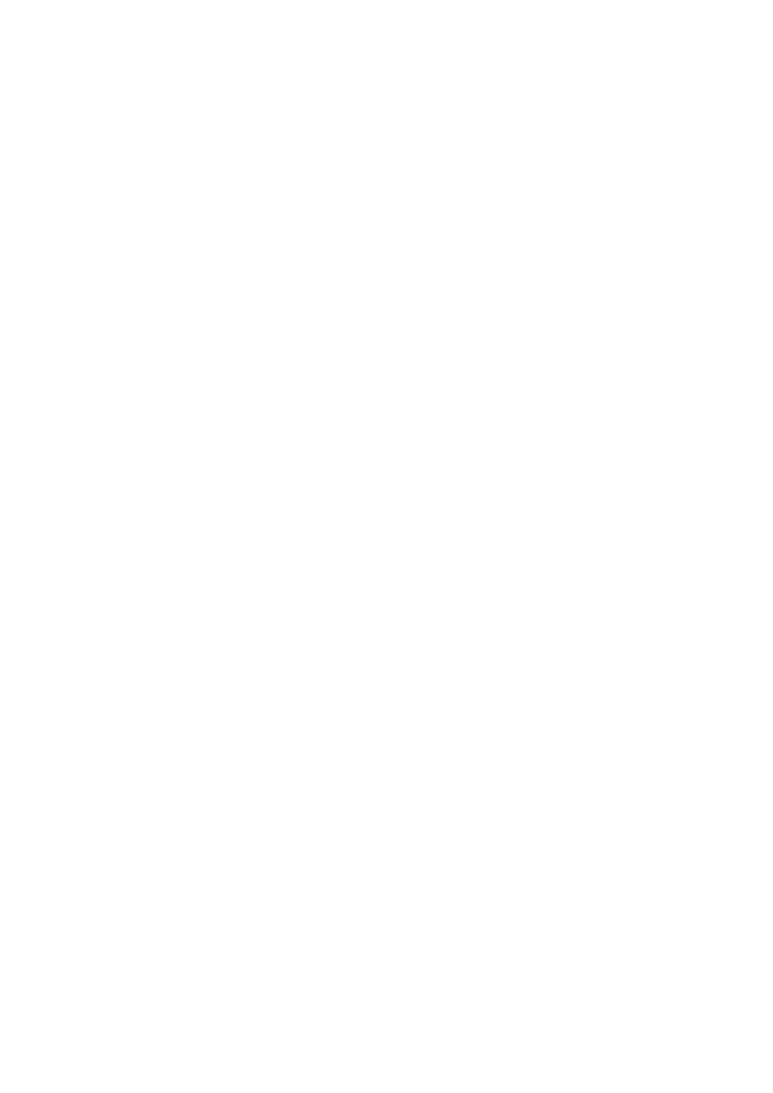| ---- |  |
|------|--|
|      |  |
|      |  |
|      |  |
|      |  |
|      |  |
|      |  |
|      |  |
|      |  |
|      |  |
|      |  |
|      |  |
|      |  |
|      |  |
|      |  |
|      |  |
|      |  |
|      |  |
|      |  |
|      |  |
|      |  |
|      |  |
|      |  |
|      |  |
|      |  |
|      |  |
|      |  |
|      |  |
|      |  |
|      |  |
|      |  |
|      |  |
|      |  |
|      |  |
|      |  |
|      |  |
|      |  |
|      |  |
|      |  |
|      |  |
|      |  |
|      |  |
|      |  |
|      |  |
|      |  |
|      |  |
|      |  |
|      |  |
|      |  |
|      |  |
|      |  |
|      |  |
|      |  |
|      |  |
|      |  |
|      |  |
|      |  |
|      |  |
|      |  |

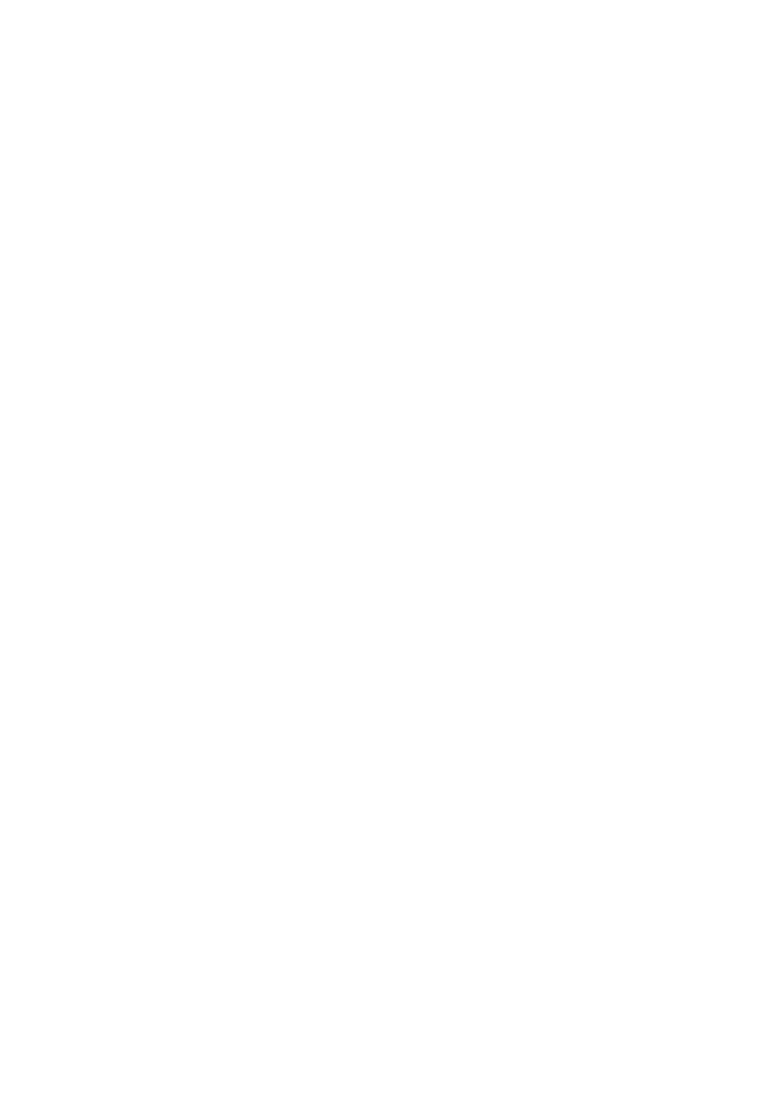| ---- |  |
|------|--|
|      |  |
|      |  |
|      |  |
|      |  |
|      |  |
|      |  |
|      |  |
|      |  |
|      |  |
|      |  |
|      |  |
|      |  |
|      |  |
|      |  |
|      |  |
|      |  |
|      |  |
|      |  |
|      |  |
|      |  |
|      |  |
|      |  |
|      |  |
|      |  |
|      |  |
|      |  |
|      |  |
|      |  |
|      |  |
|      |  |
|      |  |
|      |  |
|      |  |
|      |  |
|      |  |
|      |  |
|      |  |
|      |  |
|      |  |
|      |  |
|      |  |
|      |  |
|      |  |
|      |  |
|      |  |
|      |  |
|      |  |
|      |  |
|      |  |
|      |  |
|      |  |
|      |  |
|      |  |
|      |  |
|      |  |
|      |  |
|      |  |
|      |  |

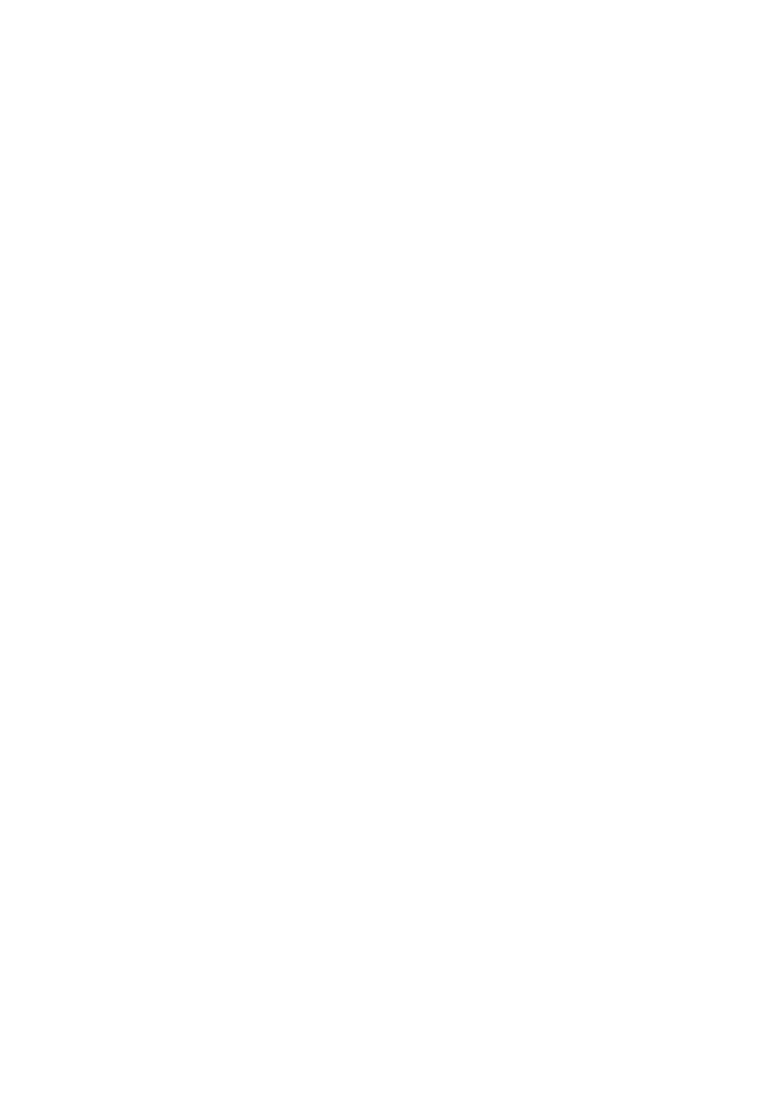| ---- |  |
|------|--|
|      |  |
|      |  |
|      |  |
|      |  |
|      |  |
|      |  |
|      |  |
|      |  |
|      |  |
|      |  |
|      |  |
|      |  |
|      |  |
|      |  |
|      |  |
|      |  |
|      |  |
|      |  |
|      |  |
|      |  |
|      |  |
|      |  |
|      |  |
|      |  |
|      |  |
|      |  |
|      |  |
|      |  |
|      |  |
|      |  |
|      |  |
|      |  |
|      |  |
|      |  |
|      |  |
|      |  |
|      |  |
|      |  |
|      |  |
|      |  |
|      |  |
|      |  |
|      |  |
|      |  |
|      |  |
|      |  |
|      |  |
|      |  |
|      |  |
|      |  |
|      |  |
|      |  |
|      |  |
|      |  |
|      |  |
|      |  |
|      |  |
|      |  |